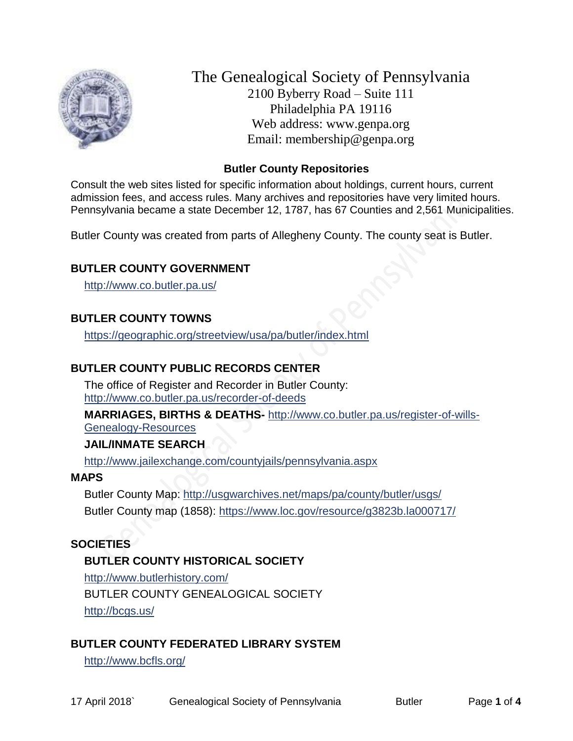

The Genealogical Society of Pennsylvania 2100 Byberry Road – Suite 111 Philadelphia PA 19116 Web address: www.genpa.org Email: membership@genpa.org

#### **Butler County Repositories**

Consult the web sites listed for specific information about holdings, current hours, current admission fees, and access rules. Many archives and repositories have very limited hours. Pennsylvania became a state December 12, 1787, has 67 Counties and 2,561 Municipalities.

Butler County was created from parts of Allegheny County. The county seat is Butler.

## **BUTLER COUNTY GOVERNMENT**

<http://www.co.butler.pa.us/>

## **BUTLER COUNTY TOWNS**

<https://geographic.org/streetview/usa/pa/butler/index.html>

## **BUTLER COUNTY PUBLIC RECORDS CENTER**

The office of Register and Recorder in Butler County: <http://www.co.butler.pa.us/recorder-of-deeds>

**MARRIAGES, BIRTHS & DEATHS-** [http://www.co.butler.pa.us/register-of-wills-](http://www.co.butler.pa.us/register-of-wills-Genealogy-Resources)[Genealogy-Resources](http://www.co.butler.pa.us/register-of-wills-Genealogy-Resources)

#### **JAIL/INMATE SEARCH**

<http://www.jailexchange.com/countyjails/pennsylvania.aspx>

#### **MAPS**

Butler County Map: <http://usgwarchives.net/maps/pa/county/butler/usgs/> Butler County map (1858):<https://www.loc.gov/resource/g3823b.la000717/>

## **SOCIETIES**

## **BUTLER COUNTY HISTORICAL SOCIETY**

<http://www.butlerhistory.com/> BUTLER COUNTY GENEAL OGICAL SOCIETY <http://bcgs.us/>

## **BUTLER COUNTY FEDERATED LIBRARY SYSTEM**

<http://www.bcfls.org/>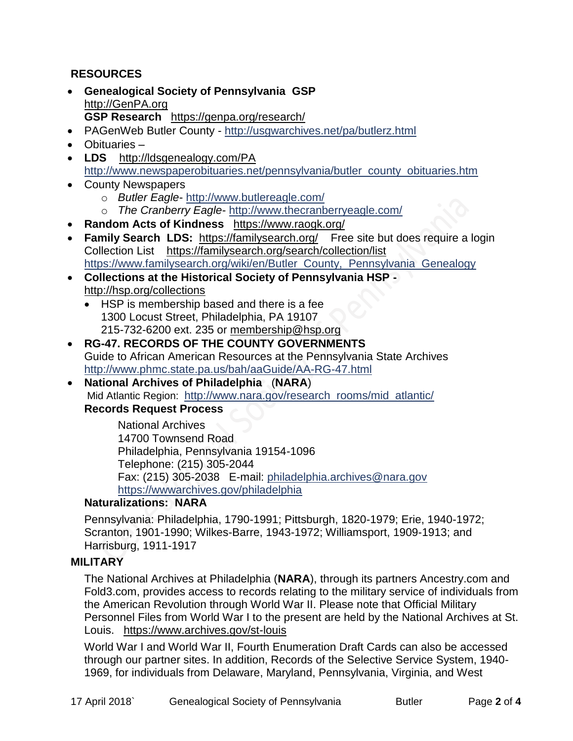## **RESOURCES**

- **Genealogical Society of Pennsylvania GSP** [http://GenPA.org](http://genpa.org/) **GSP Research** <https://genpa.org/research/>
- PAGenWeb Butler County <http://usgwarchives.net/pa/butlerz.html>
- Obituaries –
- LDS <http://ldsgenealogy.com/PA> [http://www.newspaperobituaries.net/pennsylvania/butler\\_county\\_obituaries.htm](http://www.newspaperobituaries.net/pennsylvania/butler_county_obituaries.htm)
- County Newspapers
	- o *Butler Eagle* <http://www.butlereagle.com/>
	- o *The Cranberry Eagle* <http://www.thecranberryeagle.com/>
- **Random Acts of Kindness** <https://www.raogk.org/>
- **Family Search LDS:** <https://familysearch.org/>Free site but does require a login Collection List <https://familysearch.org/search/collection/list> [https://www.familysearch.org/wiki/en/Butler\\_County,\\_Pennsylvania\\_Genealogy](https://www.familysearch.org/wiki/en/Butler_County,_Pennsylvania_Genealogy)
- **Collections at the Historical Society of Pennsylvania HSP**  <http://hsp.org/collections>
	- HSP is membership based and there is a fee 1300 Locust Street, Philadelphia, PA 19107 215-732-6200 ext. 235 or [membership@hsp.org](mailto:membership@hsp.org)
- **RG-47. RECORDS OF THE COUNTY GOVERNMENTS** Guide to African American Resources at the Pennsylvania State Archives <http://www.phmc.state.pa.us/bah/aaGuide/AA-RG-47.html>
- **National Archives of Philadelphia** (**NARA**) Mid Atlantic Region: [http://www.nara.gov/research\\_rooms/mid\\_atlantic/](http://www.nara.gov/research_rooms/mid_atlantic/) **Records Request Process**

National Archives 14700 Townsend Road Philadelphia, Pennsylvania 19154-1096 Telephone: (215) 305-2044 Fax: (215) 305-2038 E-mail: [philadelphia.archives@nara.gov](mailto:philadelphia.archives@nara.gov) <https://wwwarchives.gov/philadelphia>

## **Naturalizations: NARA**

Pennsylvania: Philadelphia, 1790-1991; Pittsburgh, 1820-1979; Erie, 1940-1972; Scranton, 1901-1990; Wilkes-Barre, 1943-1972; Williamsport, 1909-1913; and Harrisburg, 1911-1917

## **MILITARY**

The National Archives at Philadelphia (**NARA**), through its partners Ancestry.com and Fold3.com, provides access to records relating to the military service of individuals from the American Revolution through World War II. Please note that Official Military Personnel Files from World War I to the present are held by the National Archives at St. Louis. <https://www.archives.gov/st-louis>

World War I and World War II, Fourth Enumeration Draft Cards can also be accessed through our partner sites. In addition, Records of the Selective Service System, 1940- 1969, for individuals from Delaware, Maryland, Pennsylvania, Virginia, and West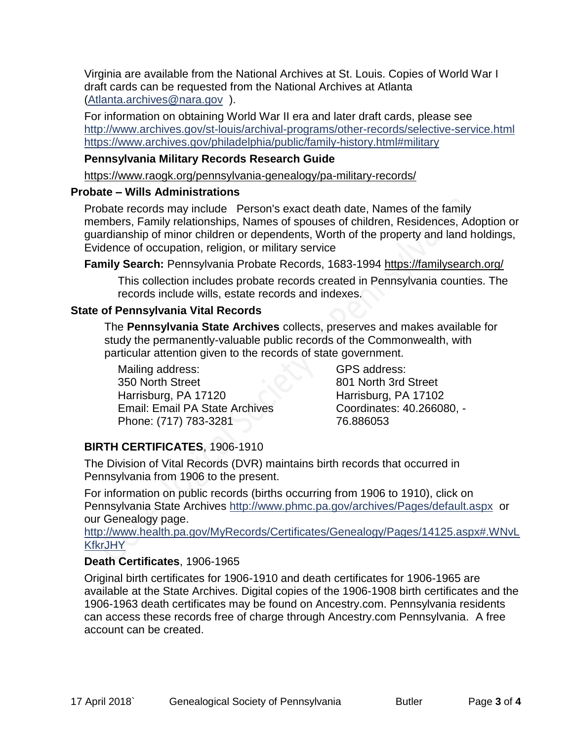Virginia are available from the National Archives at St. Louis. Copies of World War I draft cards can be requested from the National Archives at Atlanta [\(Atlanta.archives@nara.gov](mailto:Atlanta.archives@nara.gov) ).

For information on obtaining World War II era and later draft cards, please see <http://www.archives.gov/st-louis/archival-programs/other-records/selective-service.html> <https://www.archives.gov/philadelphia/public/family-history.html#military>

## **Pennsylvania Military Records Research Guide**

<https://www.raogk.org/pennsylvania-genealogy/pa-military-records/>

## **Probate – Wills Administrations**

Probate records may include Person's exact death date, Names of the family members, Family relationships, Names of spouses of children, Residences, Adoption or guardianship of minor children or dependents, Worth of the property and land holdings, Evidence of occupation, religion, or military service

**Family Search:** Pennsylvania Probate Records, 1683-1994 <https://familysearch.org/>

This collection includes probate records created in Pennsylvania counties. The records include wills, estate records and indexes.

## **State of Pennsylvania Vital Records**

The **Pennsylvania State Archives** collects, preserves and makes available for study the permanently-valuable public records of the Commonwealth, with particular attention given to the records of state government.

Mailing address: 350 North Street Harrisburg, PA 17120 Email: Email PA State Archives Phone: (717) 783-3281

GPS address: 801 North 3rd Street Harrisburg, PA 17102 Coordinates: 40.266080, - 76.886053

# **BIRTH CERTIFICATES**, 1906-1910

The Division of Vital Records (DVR) maintains birth records that occurred in Pennsylvania from 1906 to the present.

For information on public records (births occurring from 1906 to 1910), click on Pennsylvania State Archives <http://www.phmc.pa.gov/archives/Pages/default.aspx>or our Genealogy page.

[http://www.health.pa.gov/MyRecords/Certificates/Genealogy/Pages/14125.aspx#.WNvL](http://www.health.pa.gov/MyRecords/Certificates/Genealogy/Pages/14125.aspx#.WNvLKfkrJHY) **[KfkrJHY](http://www.health.pa.gov/MyRecords/Certificates/Genealogy/Pages/14125.aspx#.WNvLKfkrJHY)** 

# **Death Certificates**, 1906-1965

Original birth certificates for 1906-1910 and death certificates for 1906-1965 are available at the State Archives. Digital copies of the 1906-1908 birth certificates and the 1906-1963 death certificates may be found on Ancestry.com. Pennsylvania residents can access these records free of charge through Ancestry.com Pennsylvania. A free account can be created.